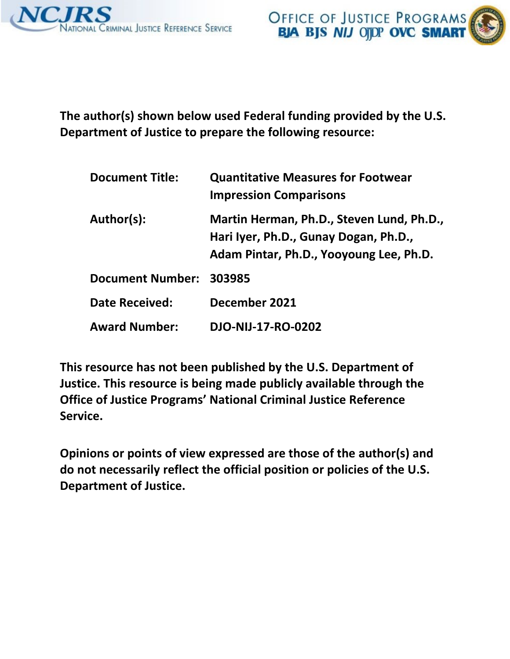

OFFICE OF JUSTICE PROGRAMS<br>BJA BJS NIJ OJDP OVC SMART



 **The author(s) shown below used Federal funding provided by the U.S. Department of Justice to prepare the following resource:** 

| <b>Document Title:</b>  | <b>Quantitative Measures for Footwear</b><br><b>Impression Comparisons</b>                                                    |
|-------------------------|-------------------------------------------------------------------------------------------------------------------------------|
| Author(s):              | Martin Herman, Ph.D., Steven Lund, Ph.D.,<br>Hari Iyer, Ph.D., Gunay Dogan, Ph.D.,<br>Adam Pintar, Ph.D., Yooyoung Lee, Ph.D. |
| <b>Document Number:</b> | 303985                                                                                                                        |
| <b>Date Received:</b>   | December 2021                                                                                                                 |
| <b>Award Number:</b>    | DJO-NIJ-17-RO-0202                                                                                                            |

 **This resource has not been published by the U.S. Department of Justice. This resource is being made publicly available through the Office of Justice Programs' National Criminal Justice Reference Service.** 

 **Opinions or points of view expressed are those of the author(s) and do not necessarily reflect the official position or policies of the U.S. Department of Justice.**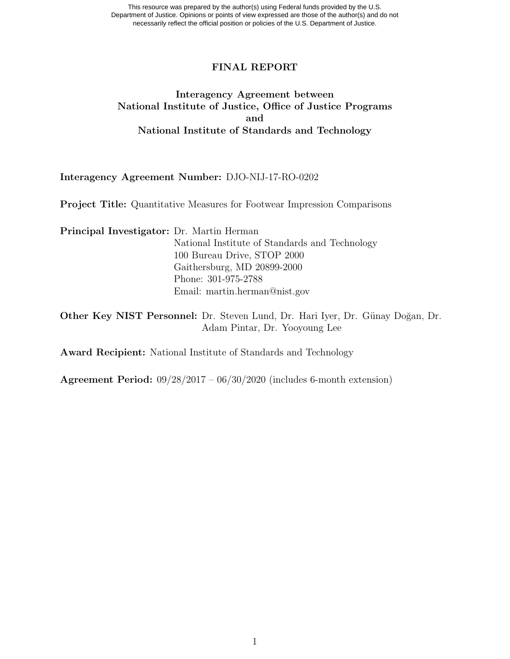This resource was prepared by the author(s) using Federal funds provided by the U.S. Department of Justice. Opinions or points of view expressed are those of the author(s) and do not necessarily reflect the official position or policies of the U.S. Department of Justice.

#### FINAL REPORT

### Interagency Agreement between National Institute of Justice, Office of Justice Programs and National Institute of Standards and Technology

#### Interagency Agreement Number: DJO-NIJ-17-RO-0202

Project Title: Quantitative Measures for Footwear Impression Comparisons

Principal Investigator: Dr. Martin Herman National Institute of Standards and Technology 100 Bureau Drive, STOP 2000 Gaithersburg, MD 20899-2000 Phone: 301-975-2788 Email: [martin.herman@nist.gov](mailto:martin.herman@nist.gov)

Other Key NIST Personnel: Dr. Steven Lund, Dr. Hari Iyer, Dr. Günay Doğan, Dr. Adam Pintar, Dr. Yooyoung Lee

Award Recipient: National Institute of Standards and Technology

Agreement Period: 09/28/2017 – 06/30/2020 (includes 6-month extension)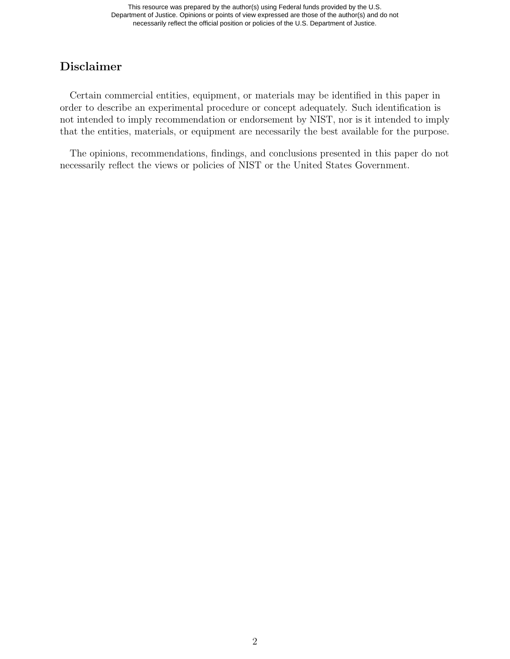## Disclaimer

Certain commercial entities, equipment, or materials may be identified in this paper in order to describe an experimental procedure or concept adequately. Such identification is not intended to imply recommendation or endorsement by NIST, nor is it intended to imply that the entities, materials, or equipment are necessarily the best available for the purpose.

The opinions, recommendations, findings, and conclusions presented in this paper do not necessarily reflect the views or policies of NIST or the United States Government.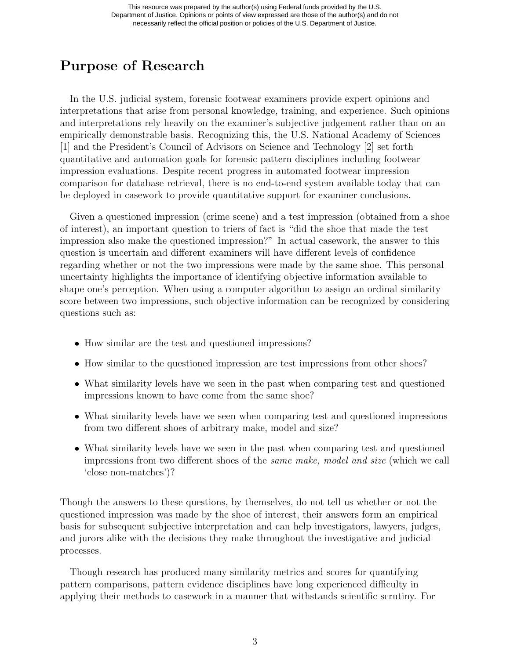# Purpose of Research

In the U.S. judicial system, forensic footwear examiners provide expert opinions and interpretations that arise from personal knowledge, training, and experience. Such opinions and interpretations rely heavily on the examiner's subjective judgement rather than on an empirically demonstrable basis. Recognizing this, the U.S. National Academy of Sciences [1] and the President's Council of Advisors on Science and Technology [2] set forth quantitative and automation goals for forensic pattern disciplines including footwear impression evaluations. Despite recent progress in automated footwear impression comparison for database retrieval, there is no end-to-end system available today that can be deployed in casework to provide quantitative support for examiner conclusions.

Given a questioned impression (crime scene) and a test impression (obtained from a shoe of interest), an important question to triers of fact is "did the shoe that made the test impression also make the questioned impression?" In actual casework, the answer to this question is uncertain and different examiners will have different levels of confidence regarding whether or not the two impressions were made by the same shoe. This personal uncertainty highlights the importance of identifying objective information available to shape one's perception. When using a computer algorithm to assign an ordinal similarity score between two impressions, such objective information can be recognized by considering questions such as:

- How similar are the test and questioned impressions?
- How similar to the questioned impression are test impressions from other shoes?
- What similarity levels have we seen in the past when comparing test and questioned impressions known to have come from the same shoe?
- What similarity levels have we seen when comparing test and questioned impressions from two different shoes of arbitrary make, model and size?
- What similarity levels have we seen in the past when comparing test and questioned impressions from two different shoes of the same make, model and size (which we call 'close non-matches')?

Though the answers to these questions, by themselves, do not tell us whether or not the questioned impression was made by the shoe of interest, their answers form an empirical basis for subsequent subjective interpretation and can help investigators, lawyers, judges, and jurors alike with the decisions they make throughout the investigative and judicial processes.

Though research has produced many similarity metrics and scores for quantifying pattern comparisons, pattern evidence disciplines have long experienced difficulty in applying their methods to casework in a manner that withstands scientific scrutiny. For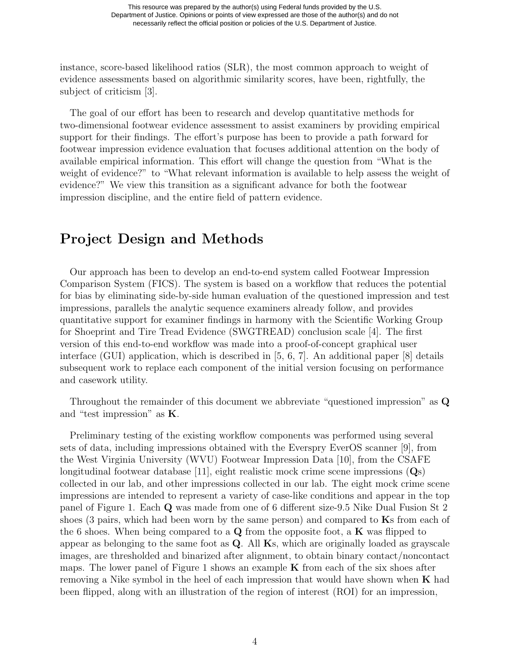instance, score-based likelihood ratios (SLR), the most common approach to weight of evidence assessments based on algorithmic similarity scores, have been, rightfully, the subject of criticism [3].

The goal of our effort has been to research and develop quantitative methods for two-dimensional footwear evidence assessment to assist examiners by providing empirical support for their findings. The effort's purpose has been to provide a path forward for footwear impression evidence evaluation that focuses additional attention on the body of available empirical information. This effort will change the question from "What is the weight of evidence?" to "What relevant information is available to help assess the weight of evidence?" We view this transition as a significant advance for both the footwear impression discipline, and the entire field of pattern evidence.

## Project Design and Methods

Our approach has been to develop an end-to-end system called Footwear Impression Comparison System (FICS). The system is based on a workflow that reduces the potential for bias by eliminating side-by-side human evaluation of the questioned impression and test impressions, parallels the analytic sequence examiners already follow, and provides quantitative support for examiner findings in harmony with the Scientific Working Group for Shoeprint and Tire Tread Evidence (SWGTREAD) conclusion scale [4]. The first version of this end-to-end workflow was made into a proof-of-concept graphical user interface (GUI) application, which is described in [5, 6, 7]. An additional paper [8] details subsequent work to replace each component of the initial version focusing on performance and casework utility.

Throughout the remainder of this document we abbreviate "questioned impression" as Q and "test impression" as K.

Preliminary testing of the existing workflow components was performed using several sets of data, including impressions obtained with the Everspry EverOS scanner [9], from the West Virginia University (WVU) Footwear Impression Data [10], from the CSAFE longitudinal footwear database [11], eight realistic mock crime scene impressions (Qs) collected in our lab, and other impressions collected in our lab. The eight mock crime scene impressions are intended to represent a variety of case-like conditions and appear in the top panel of Figure [1.](#page-5-0) Each Q was made from one of 6 different size-9.5 Nike Dual Fusion St 2 shoes (3 pairs, which had been worn by the same person) and compared to  $\mathbf{K}s$  from each of the 6 shoes. When being compared to a  $\mathbf Q$  from the opposite foot, a **K** was flipped to appear as belonging to the same foot as Q. All Ks, which are originally loaded as grayscale images, are thresholded and binarized after alignment, to obtain binary contact/noncontact maps. The lower panel of Figure [1](#page-5-0) shows an example  $\bf{K}$  from each of the six shoes after removing a Nike symbol in the heel of each impression that would have shown when  $\bf{K}$  had been flipped, along with an illustration of the region of interest (ROI) for an impression,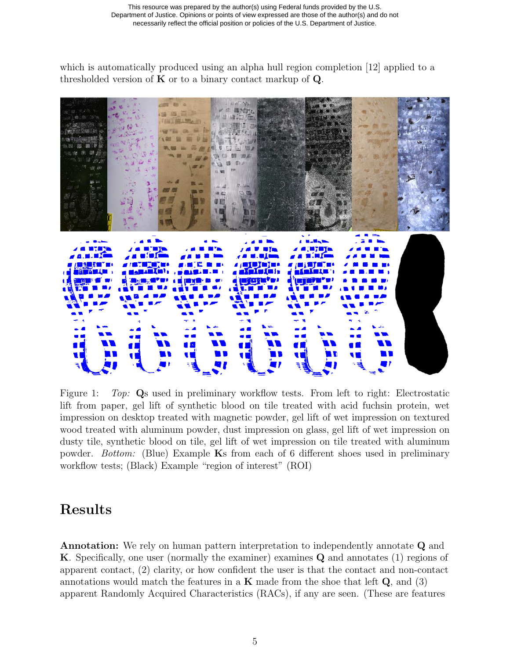which is automatically produced using an alpha hull region completion [12] applied to a thresholded version of  $K$  or to a binary contact markup of  $Q$ .



<span id="page-5-0"></span>Figure 1: Top: Qs used in preliminary workflow tests. From left to right: Electrostatic lift from paper, gel lift of synthetic blood on tile treated with acid fuchsin protein, wet impression on desktop treated with magnetic powder, gel lift of wet impression on textured wood treated with aluminum powder, dust impression on glass, gel lift of wet impression on dusty tile, synthetic blood on tile, gel lift of wet impression on tile treated with aluminum powder. Bottom: (Blue) Example Ks from each of 6 different shoes used in preliminary workflow tests; (Black) Example "region of interest" (ROI)

## Results

Annotation: We rely on human pattern interpretation to independently annotate Q and K. Specifically, one user (normally the examiner) examines Q and annotates (1) regions of apparent contact, (2) clarity, or how confident the user is that the contact and non-contact annotations would match the features in a  $\bf{K}$  made from the shoe that left  $\bf{Q}$ , and (3) apparent Randomly Acquired Characteristics (RACs), if any are seen. (These are features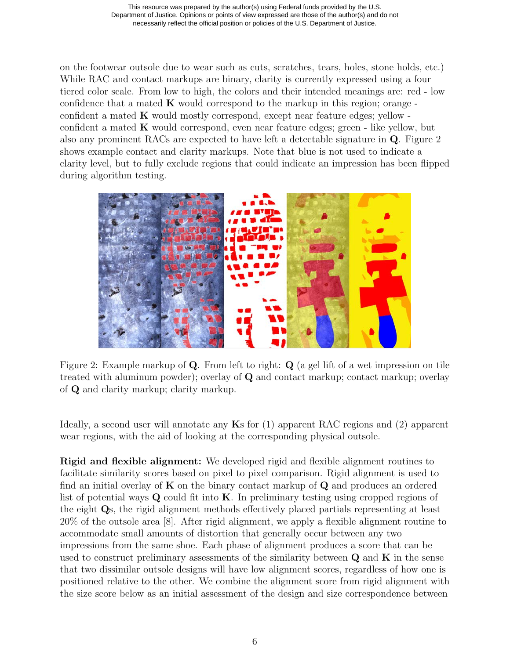on the footwear outsole due to wear such as cuts, scratches, tears, holes, stone holds, etc.) While RAC and contact markups are binary, clarity is currently expressed using a four tiered color scale. From low to high, the colors and their intended meanings are: red - low confidence that a mated  $\bf{K}$  would correspond to the markup in this region; orange confident a mated K would mostly correspond, except near feature edges; yellow confident a mated K would correspond, even near feature edges; green - like yellow, but also any prominent RACs are expected to have left a detectable signature in Q. Figure [2](#page-6-0) shows example contact and clarity markups. Note that blue is not used to indicate a clarity level, but to fully exclude regions that could indicate an impression has been flipped during algorithm testing.



Figure 2: Example markup of Q. From left to right: Q (a gel lift of a wet impression on tile treated with aluminum powder); overlay of  $Q$  and contact markup; contact markup; overlay of Q and clarity markup; clarity markup.

<span id="page-6-0"></span>Ideally, a second user will annotate any  $\mathbf{K}s$  for (1) apparent RAC regions and (2) apparent wear regions, with the aid of looking at the corresponding physical outsole.

Rigid and flexible alignment: We developed rigid and flexible alignment routines to facilitate similarity scores based on pixel to pixel comparison. Rigid alignment is used to find an initial overlay of  $K$  on the binary contact markup of  $Q$  and produces an ordered list of potential ways  $Q$  could fit into  $K$ . In preliminary testing using cropped regions of the eight Qs, the rigid alignment methods effectively placed partials representing at least 20% of the outsole area [8]. After rigid alignment, we apply a flexible alignment routine to accommodate small amounts of distortion that generally occur between any two impressions from the same shoe. Each phase of alignment produces a score that can be used to construct preliminary assessments of the similarity between  $\bf{Q}$  and  $\bf{K}$  in the sense that two dissimilar outsole designs will have low alignment scores, regardless of how one is positioned relative to the other. We combine the alignment score from rigid alignment with the size score below as an initial assessment of the design and size correspondence between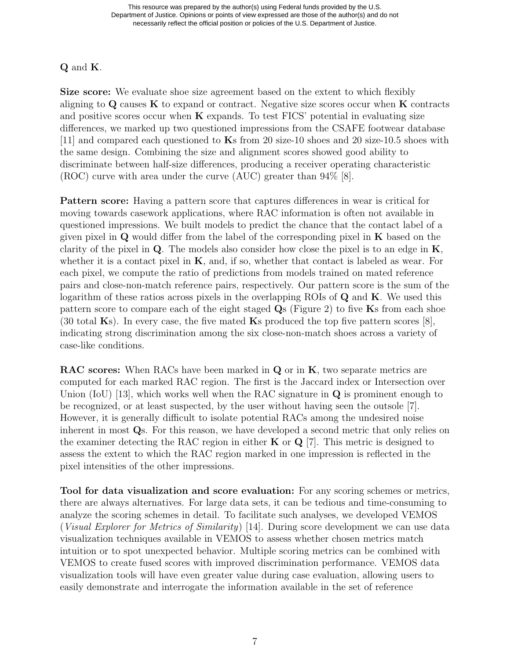### Q and K.

Size score: We evaluate shoe size agreement based on the extent to which flexibly aligning to  $\bf{Q}$  causes  $\bf{K}$  to expand or contract. Negative size scores occur when  $\bf{K}$  contracts and positive scores occur when  $\bf{K}$  expands. To test FICS' potential in evaluating size differences, we marked up two questioned impressions from the CSAFE footwear database [11] and compared each questioned to Ks from 20 size-10 shoes and 20 size-10.5 shoes with the same design. Combining the size and alignment scores showed good ability to discriminate between half-size differences, producing a receiver operating characteristic (ROC) curve with area under the curve (AUC) greater than 94% [8].

Pattern score: Having a pattern score that captures differences in wear is critical for moving towards casework applications, where RAC information is often not available in questioned impressions. We built models to predict the chance that the contact label of a given pixel in  $\bf{Q}$  would differ from the label of the corresponding pixel in  $\bf{K}$  based on the clarity of the pixel in  $Q$ . The models also consider how close the pixel is to an edge in  $K$ , whether it is a contact pixel in  $K$ , and, if so, whether that contact is labeled as wear. For each pixel, we compute the ratio of predictions from models trained on mated reference pairs and close-non-match reference pairs, respectively. Our pattern score is the sum of the logarithm of these ratios across pixels in the overlapping ROIs of  $\bf{Q}$  and  $\bf{K}$ . We used this pattern score to compare each of the eight staged Qs (Figure [2\)](#page-6-0) to five Ks from each shoe (30 total Ks). In every case, the five mated Ks produced the top five pattern scores  $[8]$ , indicating strong discrimination among the six close-non-match shoes across a variety of case-like conditions.

RAC scores: When RACs have been marked in Q or in K, two separate metrics are computed for each marked RAC region. The first is the Jaccard index or Intersection over Union (IoU) [13], which works well when the RAC signature in  $\bf{Q}$  is prominent enough to be recognized, or at least suspected, by the user without having seen the outsole [7]. However, it is generally difficult to isolate potential RACs among the undesired noise inherent in most Qs. For this reason, we have developed a second metric that only relies on the examiner detecting the RAC region in either  $K$  or  $Q$  [7]. This metric is designed to assess the extent to which the RAC region marked in one impression is reflected in the pixel intensities of the other impressions.

Tool for data visualization and score evaluation: For any scoring schemes or metrics, there are always alternatives. For large data sets, it can be tedious and time-consuming to analyze the scoring schemes in detail. To facilitate such analyses, we developed VEMOS (Visual Explorer for Metrics of Similarity) [14]. During score development we can use data visualization techniques available in VEMOS to assess whether chosen metrics match intuition or to spot unexpected behavior. Multiple scoring metrics can be combined with VEMOS to create fused scores with improved discrimination performance. VEMOS data visualization tools will have even greater value during case evaluation, allowing users to easily demonstrate and interrogate the information available in the set of reference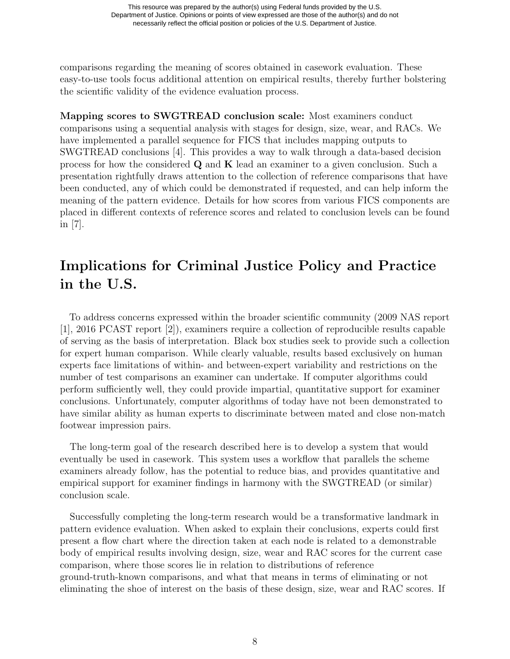comparisons regarding the meaning of scores obtained in casework evaluation. These easy-to-use tools focus additional attention on empirical results, thereby further bolstering the scientific validity of the evidence evaluation process.

Mapping scores to SWGTREAD conclusion scale: Most examiners conduct comparisons using a sequential analysis with stages for design, size, wear, and RACs. We have implemented a parallel sequence for FICS that includes mapping outputs to SWGTREAD conclusions [4]. This provides a way to walk through a data-based decision process for how the considered  $Q$  and  $K$  lead an examiner to a given conclusion. Such a presentation rightfully draws attention to the collection of reference comparisons that have been conducted, any of which could be demonstrated if requested, and can help inform the meaning of the pattern evidence. Details for how scores from various FICS components are placed in different contexts of reference scores and related to conclusion levels can be found in [7].

# Implications for Criminal Justice Policy and Practice in the U.S.

To address concerns expressed within the broader scientific community (2009 NAS report [1], 2016 PCAST report [2]), examiners require a collection of reproducible results capable of serving as the basis of interpretation. Black box studies seek to provide such a collection for expert human comparison. While clearly valuable, results based exclusively on human experts face limitations of within- and between-expert variability and restrictions on the number of test comparisons an examiner can undertake. If computer algorithms could perform sufficiently well, they could provide impartial, quantitative support for examiner conclusions. Unfortunately, computer algorithms of today have not been demonstrated to have similar ability as human experts to discriminate between mated and close non-match footwear impression pairs.

The long-term goal of the research described here is to develop a system that would eventually be used in casework. This system uses a workflow that parallels the scheme examiners already follow, has the potential to reduce bias, and provides quantitative and empirical support for examiner findings in harmony with the SWGTREAD (or similar) conclusion scale.

Successfully completing the long-term research would be a transformative landmark in pattern evidence evaluation. When asked to explain their conclusions, experts could first present a flow chart where the direction taken at each node is related to a demonstrable body of empirical results involving design, size, wear and RAC scores for the current case comparison, where those scores lie in relation to distributions of reference ground-truth-known comparisons, and what that means in terms of eliminating or not eliminating the shoe of interest on the basis of these design, size, wear and RAC scores. If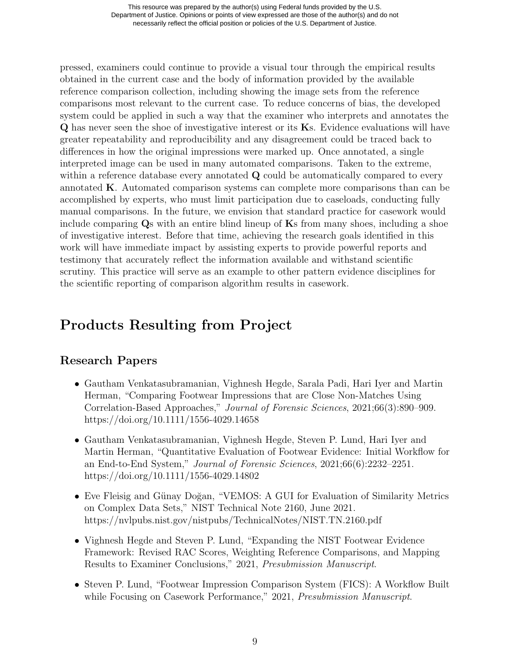pressed, examiners could continue to provide a visual tour through the empirical results obtained in the current case and the body of information provided by the available reference comparison collection, including showing the image sets from the reference comparisons most relevant to the current case. To reduce concerns of bias, the developed system could be applied in such a way that the examiner who interprets and annotates the Q has never seen the shoe of investigative interest or its Ks. Evidence evaluations will have greater repeatability and reproducibility and any disagreement could be traced back to differences in how the original impressions were marked up. Once annotated, a single interpreted image can be used in many automated comparisons. Taken to the extreme, within a reference database every annotated Q could be automatically compared to every annotated K. Automated comparison systems can complete more comparisons than can be accomplished by experts, who must limit participation due to caseloads, conducting fully manual comparisons. In the future, we envision that standard practice for casework would include comparing  $\mathbf{Q}_s$  with an entire blind lineup of  $\mathbf{K}s$  from many shoes, including a shoe of investigative interest. Before that time, achieving the research goals identified in this work will have immediate impact by assisting experts to provide powerful reports and testimony that accurately reflect the information available and withstand scientific scrutiny. This practice will serve as an example to other pattern evidence disciplines for the scientific reporting of comparison algorithm results in casework.

# Products Resulting from Project

## Research Papers

- Gautham Venkatasubramanian, Vighnesh Hegde, Sarala Padi, Hari Iyer and Martin Herman, "Comparing Footwear Impressions that are Close Non-Matches Using Correlation-Based Approaches," Journal of Forensic Sciences, 2021;66(3):890–909. <https://doi.org/10.1111/1556-4029.14658>
- Gautham Venkatasubramanian, Vighnesh Hegde, Steven P. Lund, Hari Iyer and Martin Herman, "Quantitative Evaluation of Footwear Evidence: Initial Workflow for an End-to-End System," Journal of Forensic Sciences, 2021;66(6):2232–2251. <https://doi.org/10.1111/1556-4029.14802>
- Eve Fleisig and Günay Doğan, "VEMOS: A GUI for Evaluation of Similarity Metrics on Complex Data Sets," NIST Technical Note 2160, June 2021. <https://nvlpubs.nist.gov/nistpubs/TechnicalNotes/NIST.TN.2160.pdf>
- Vighnesh Hegde and Steven P. Lund, "Expanding the NIST Footwear Evidence Framework: Revised RAC Scores, Weighting Reference Comparisons, and Mapping Results to Examiner Conclusions," 2021, Presubmission Manuscript.
- Steven P. Lund, "Footwear Impression Comparison System (FICS): A Workflow Built while Focusing on Casework Performance," 2021, *Presubmission Manuscript*.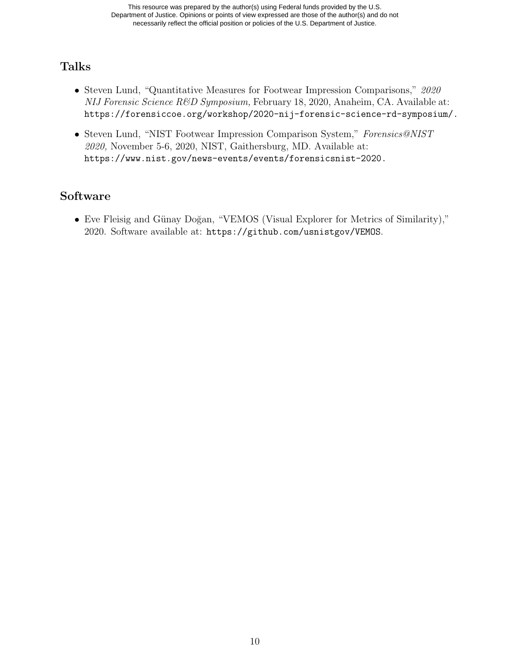### Talks

- Steven Lund, "Quantitative Measures for Footwear Impression Comparisons," 2020 NIJ Forensic Science R&D Symposium, February 18, 2020, Anaheim, CA. Available at: [https://forensiccoe.org/workshop/2020-nij-forensic-science-rd-symposium/](https://forensiccoe.org/workshop/2020-nij-forensic-science-rd-symposium).
- Steven Lund, "NIST Footwear Impression Comparison System," Forensics@NIST 2020, November 5-6, 2020, NIST, Gaithersburg, MD. Available at: [https://www.nist.gov/news-events/events/forensicsnist-2020.](https://www.nist.gov/news-events/events/forensicsnist-2020)

## Software

• Eve Fleisig and Günay Doğan, "VEMOS (Visual Explorer for Metrics of Similarity)," 2020. Software available at: <https://github.com/usnistgov/VEMOS>.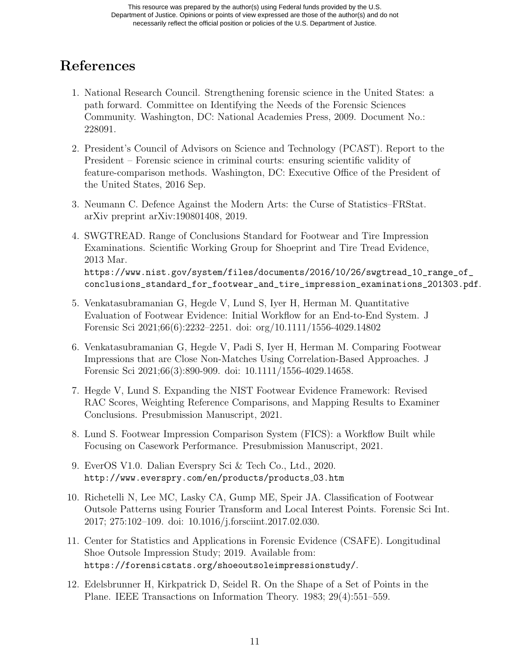# References

- 1. National Research Council. Strengthening forensic science in the United States: a path forward. Committee on Identifying the Needs of the Forensic Sciences Community. Washington, DC: National Academies Press, 2009. Document No.: 228091.
- 2. President's Council of Advisors on Science and Technology (PCAST). Report to the President – Forensic science in criminal courts: ensuring scientific validity of feature-comparison methods. Washington, DC: Executive Office of the President of the United States, 2016 Sep.
- 3. Neumann C. Defence Against the Modern Arts: the Curse of Statistics–FRStat. arXiv preprint arXiv:190801408, 2019.
- 4. SWGTREAD. Range of Conclusions Standard for Footwear and Tire Impression Examinations. Scientific Working Group for Shoeprint and Tire Tread Evidence, 2013 Mar. [https://www.nist.gov/system/files/documents/2016/10/26/swgtread\\_10\\_range\\_of\\_](https://www.nist.gov/system/files/documents/2016/10/26/swgtread_10_range_of) conclusions\_standard\_for\_footwear\_and\_tire\_impression\_examinations\_201303.pdf.
- 5. Venkatasubramanian G, Hegde V, Lund S, Iyer H, Herman M. Quantitative Evaluation of Footwear Evidence: Initial Workflow for an End-to-End System. J Forensic Sci 2021;66(6):2232–2251. doi: org/10.1111/1556-4029.14802
- 6. Venkatasubramanian G, Hegde V, Padi S, Iyer H, Herman M. Comparing Footwear Impressions that are Close Non-Matches Using Correlation-Based Approaches. J Forensic Sci 2021;66(3):890-909. doi: 10.1111/1556-4029.14658.
- 7. Hegde V, Lund S. Expanding the NIST Footwear Evidence Framework: Revised RAC Scores, Weighting Reference Comparisons, and Mapping Results to Examiner Conclusions. Presubmission Manuscript, 2021.
- 8. Lund S. Footwear Impression Comparison System (FICS): a Workflow Built while Focusing on Casework Performance. Presubmission Manuscript, 2021.
- 9. EverOS V1.0. Dalian Everspry Sci & Tech Co., Ltd., 2020. <http://www.everspry.com/en/products/products> 03.htm
- 10. Richetelli N, Lee MC, Lasky CA, Gump ME, Speir JA. Classification of Footwear Outsole Patterns using Fourier Transform and Local Interest Points. Forensic Sci Int. 2017; 275:102–109. doi: 10.1016/j.forsciint.2017.02.030.
- 11. Center for Statistics and Applications in Forensic Evidence (CSAFE). Longitudinal Shoe Outsole Impression Study; 2019. Available from: [https://forensicstats.org/shoeoutsoleimpressionstudy/](https://forensicstats.org/shoeoutsoleimpressionstudy).
- 12. Edelsbrunner H, Kirkpatrick D, Seidel R. On the Shape of a Set of Points in the Plane. IEEE Transactions on Information Theory. 1983; 29(4):551–559.